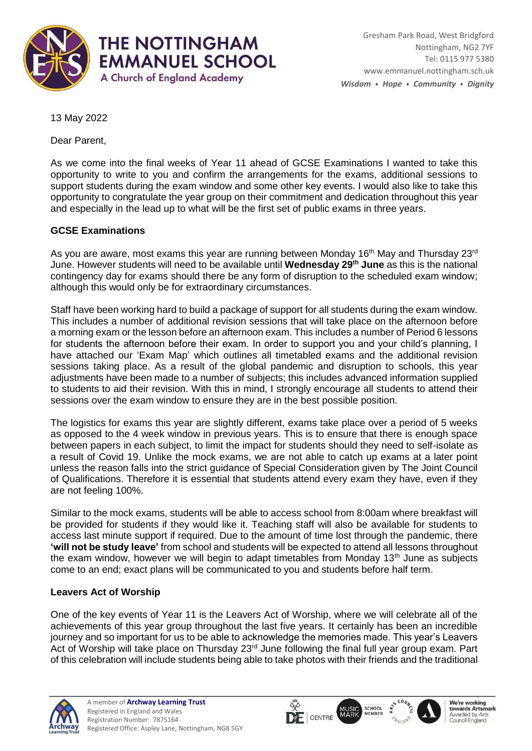

13 May 2022

Dear Parent,

As we come into the final weeks of Year 11 ahead of GCSE Examinations I wanted to take this opportunity to write to you and confirm the arrangements for the exams, additional sessions to support students during the exam window and some other key events. I would also like to take this opportunity to congratulate the year group on their commitment and dedication throughout this year and especially in the lead up to what will be the first set of public exams in three years.

### **GCSE Examinations**

As you are aware, most exams this year are running between Monday 16<sup>th</sup> May and Thursday 23<sup>rd</sup> June. However students will need to be available until **Wednesday 29th June** as this is the national contingency day for exams should there be any form of disruption to the scheduled exam window; although this would only be for extraordinary circumstances.

Staff have been working hard to build a package of support for all students during the exam window. This includes a number of additional revision sessions that will take place on the afternoon before a morning exam or the lesson before an afternoon exam. This includes a number of Period 6 lessons for students the afternoon before their exam. In order to support you and your child's planning, I have attached our 'Exam Map' which outlines all timetabled exams and the additional revision sessions taking place. As a result of the global pandemic and disruption to schools, this year adjustments have been made to a number of subjects; this includes advanced information supplied to students to aid their revision. With this in mind, I strongly encourage all students to attend their sessions over the exam window to ensure they are in the best possible position.

The logistics for exams this year are slightly different, exams take place over a period of 5 weeks as opposed to the 4 week window in previous years. This is to ensure that there is enough space between papers in each subject, to limit the impact for students should they need to self-isolate as a result of Covid 19. Unlike the mock exams, we are not able to catch up exams at a later point unless the reason falls into the strict guidance of Special Consideration given by The Joint Council of Qualifications. Therefore it is essential that students attend every exam they have, even if they are not feeling 100%.

Similar to the mock exams, students will be able to access school from 8:00am where breakfast will be provided for students if they would like it. Teaching staff will also be available for students to access last minute support if required. Due to the amount of time lost through the pandemic, there **'will not be study leave'** from school and students will be expected to attend all lessons throughout the exam window, however we will begin to adapt timetables from Monday  $13<sup>th</sup>$  June as subjects come to an end; exact plans will be communicated to you and students before half term.

### **Leavers Act of Worship**

One of the key events of Year 11 is the Leavers Act of Worship, where we will celebrate all of the achievements of this year group throughout the last five years. It certainly has been an incredible journey and so important for us to be able to acknowledge the memories made. This year's Leavers Act of Worship will take place on Thursday 23<sup>rd</sup> June following the final full year group exam. Part of this celebration will include students being able to take photos with their friends and the traditional





MUSIC<br>MARK



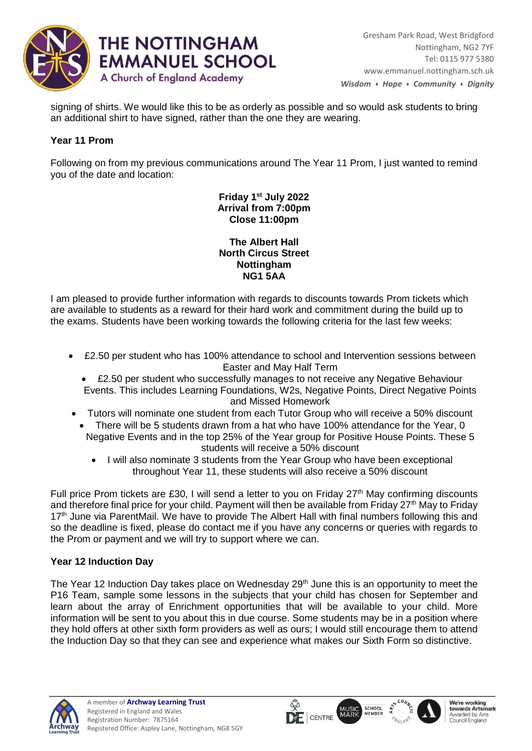

signing of shirts. We would like this to be as orderly as possible and so would ask students to bring an additional shirt to have signed, rather than the one they are wearing.

## **Year 11 Prom**

Following on from my previous communications around The Year 11 Prom, I just wanted to remind you of the date and location:

> **Friday 1st July 2022 Arrival from 7:00pm Close 11:00pm**

**The Albert Hall North Circus Street Nottingham NG1 5AA**

I am pleased to provide further information with regards to discounts towards Prom tickets which are available to students as a reward for their hard work and commitment during the build up to the exams. Students have been working towards the following criteria for the last few weeks:

- £2.50 per student who has 100% attendance to school and Intervention sessions between Easter and May Half Term
	- £2.50 per student who successfully manages to not receive any Negative Behaviour Events. This includes Learning Foundations, W2s, Negative Points, Direct Negative Points and Missed Homework
- Tutors will nominate one student from each Tutor Group who will receive a 50% discount
	- There will be 5 students drawn from a hat who have 100% attendance for the Year, 0 Negative Events and in the top 25% of the Year group for Positive House Points. These 5 students will receive a 50% discount
		- I will also nominate 3 students from the Year Group who have been exceptional throughout Year 11, these students will also receive a 50% discount

Full price Prom tickets are £30, I will send a letter to you on Friday 27<sup>th</sup> May confirming discounts and therefore final price for your child. Payment will then be available from Friday 27<sup>th</sup> May to Friday 17<sup>th</sup> June via ParentMail. We have to provide The Albert Hall with final numbers following this and so the deadline is fixed, please do contact me if you have any concerns or queries with regards to the Prom or payment and we will try to support where we can.

# **Year 12 Induction Day**

The Year 12 Induction Day takes place on Wednesday 29<sup>th</sup> June this is an opportunity to meet the P16 Team, sample some lessons in the subjects that your child has chosen for September and learn about the array of Enrichment opportunities that will be available to your child. More information will be sent to you about this in due course. Some students may be in a position where they hold offers at other sixth form providers as well as ours; I would still encourage them to attend the Induction Day so that they can see and experience what makes our Sixth Form so distinctive.







SCHOOL<br>MEMBER

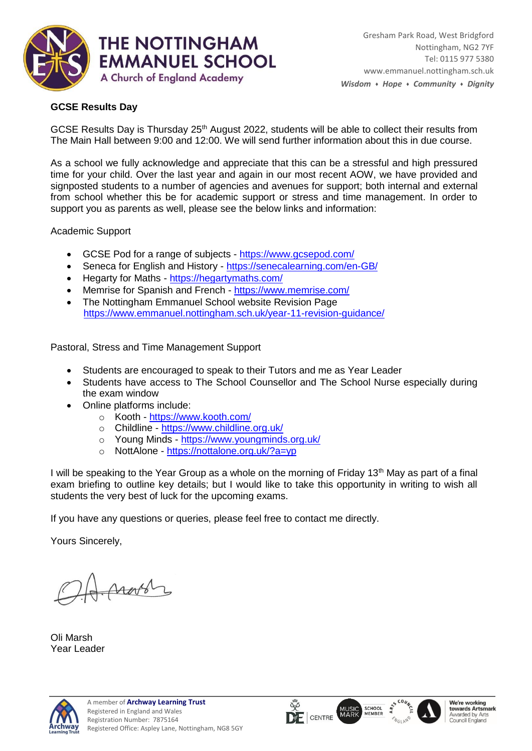

## **GCSE Results Day**

GCSE Results Day is Thursday 25<sup>th</sup> August 2022, students will be able to collect their results from The Main Hall between 9:00 and 12:00. We will send further information about this in due course.

As a school we fully acknowledge and appreciate that this can be a stressful and high pressured time for your child. Over the last year and again in our most recent AOW, we have provided and signposted students to a number of agencies and avenues for support; both internal and external from school whether this be for academic support or stress and time management. In order to support you as parents as well, please see the below links and information:

Academic Support

- GCSE Pod for a range of subjects <https://www.gcsepod.com/>
- Seneca for English and History <https://senecalearning.com/en-GB/>
- Hegarty for Maths <https://hegartymaths.com/>
- Memrise for Spanish and French <https://www.memrise.com/>
- The Nottingham Emmanuel School website Revision Page <https://www.emmanuel.nottingham.sch.uk/year-11-revision-guidance/>

Pastoral, Stress and Time Management Support

- Students are encouraged to speak to their Tutors and me as Year Leader
- Students have access to The School Counsellor and The School Nurse especially during the exam window
- Online platforms include:
	- o Kooth <https://www.kooth.com/>
	- o Childline <https://www.childline.org.uk/>
	- o Young Minds <https://www.youngminds.org.uk/>
	- o NottAlone <https://nottalone.org.uk/?a=yp>

I will be speaking to the Year Group as a whole on the morning of Friday 13<sup>th</sup> May as part of a final exam briefing to outline key details; but I would like to take this opportunity in writing to wish all students the very best of luck for the upcoming exams.

If you have any questions or queries, please feel free to contact me directly.

Yours Sincerely,

Arobby

Oli Marsh Year Leader







**SCHOOL**<br>MEMBER